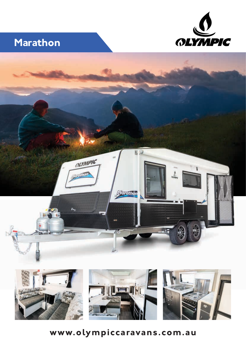

# **Marathon**





# **www.olympiccaravans.com.au**